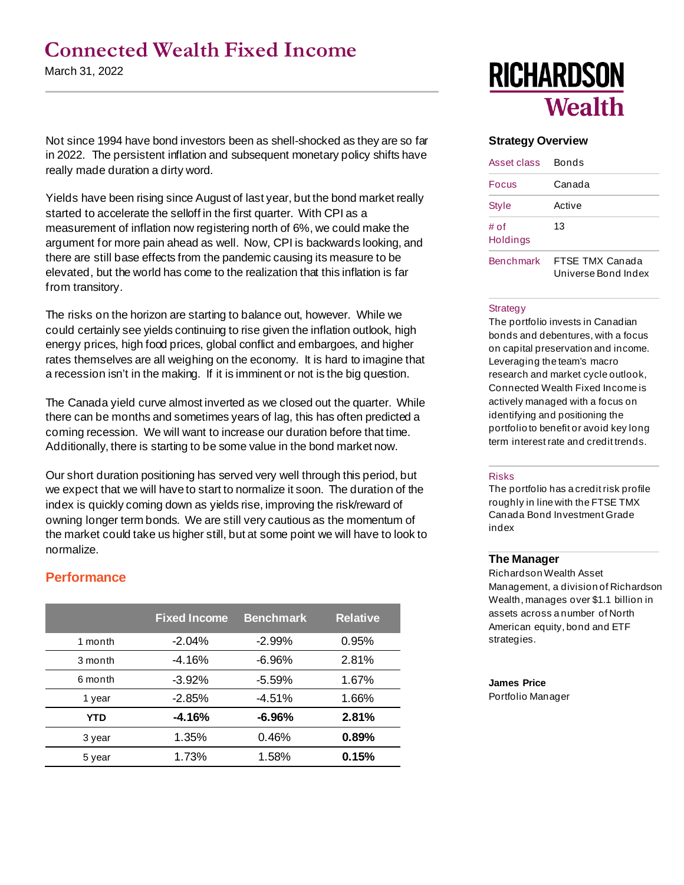# **Connected Wealth Fixed Income**

March 31, 2022

Not since 1994 have bond investors been as shell-shocked as they are so far in 2022. The persistent inflation and subsequent monetary policy shifts have really made duration a dirty word.

Yields have been rising since August of last year, but the bond market really started to accelerate the selloff in the first quarter. With CPI as a measurement of inflation now registering north of 6%, we could make the argument for more pain ahead as well. Now, CPI is backwards looking, and there are still base effects from the pandemic causing its measure to be elevated, but the world has come to the realization that this inflation is far from transitory.

The risks on the horizon are starting to balance out, however. While we could certainly see yields continuing to rise given the inflation outlook, high energy prices, high food prices, global conflict and embargoes, and higher rates themselves are all weighing on the economy. It is hard to imagine that a recession isn't in the making. If it is imminent or not is the big question.

The Canada yield curve almost inverted as we closed out the quarter. While there can be months and sometimes years of lag, this has often predicted a coming recession. We will want to increase our duration before that time. Additionally, there is starting to be some value in the bond market now.

Our short duration positioning has served very well through this period, but we expect that we will have to start to normalize it soon. The duration of the index is quickly coming down as yields rise, improving the risk/reward of owning longer term bonds. We are still very cautious as the momentum of the market could take us higher still, but at some point we will have to look to normalize.

# **Performance**

|            | <b>Fixed Income</b> | <b>Benchmark</b> | <b>Relative</b> |
|------------|---------------------|------------------|-----------------|
| 1 month    | $-2.04%$            | $-2.99%$         | 0.95%           |
| 3 month    | $-4.16%$            | $-6.96%$         | 2.81%           |
| 6 month    | $-3.92%$            | $-5.59%$         | 1.67%           |
| 1 year     | $-2.85%$            | $-4.51%$         | 1.66%           |
| <b>YTD</b> | -4.16%              | $-6.96%$         | 2.81%           |
| 3 year     | 1.35%               | 0.46%            | 0.89%           |
| 5 year     | 1.73%               | 1.58%            | 0.15%           |

# **RICHARDSON Wealth**

### **Strategy Overview**

| Asset class      | Bonds                                  |  |  |  |
|------------------|----------------------------------------|--|--|--|
| Focus            | Canada                                 |  |  |  |
| Style            | Active                                 |  |  |  |
| # of<br>Holdings | 13                                     |  |  |  |
| <b>Benchmark</b> | FTSF TMX Canada<br>Universe Bond Index |  |  |  |

#### **Strategy**

The portfolio invests in Canadian bonds and debentures, with a focus on capital preservation and income. Leveraging the team's macro research and market cycle outlook, Connected Wealth Fixed Income is actively managed with a focus on identifying and positioning the portfolio to benefit or avoid key long term interest rate and credit trends.

#### Risks

The portfolio has a credit risk profile roughly in line with the FTSE TMX Canada Bond Investment Grade index

### **The Manager**

Richardson Wealth Asset Management, a division of Richardson Wealth, manages over \$1.1 billion in assets across a number of North American equity, bond and ETF strategies.

#### **James Price**

Portfolio Manager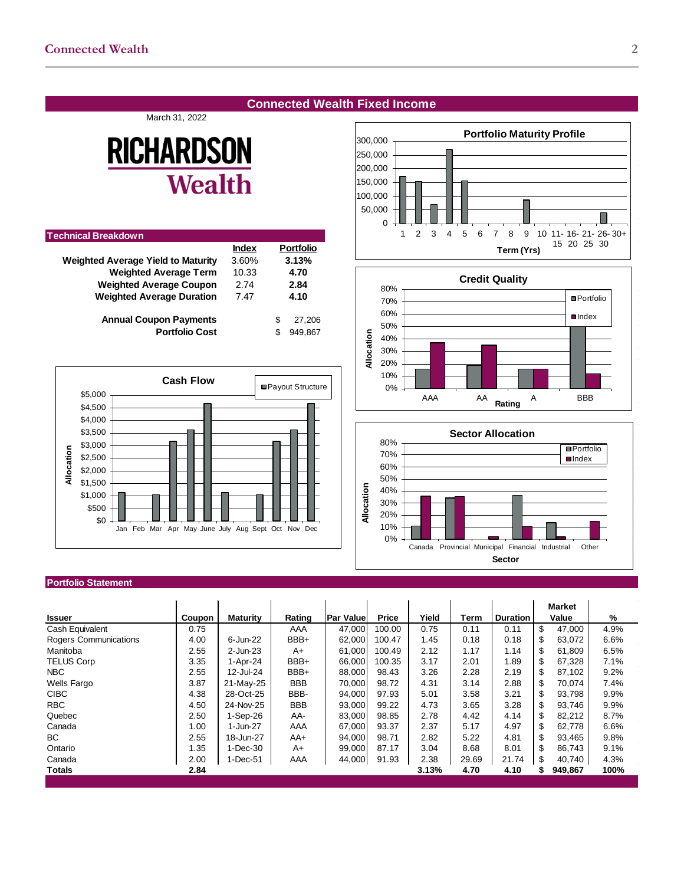## **Connected Wealth Fixed Income**

#### March 31, 2022

# **RICHARDSON Wealth**

| <b>Technical Breakdown</b>                |              |                  |
|-------------------------------------------|--------------|------------------|
|                                           | <b>Index</b> | <b>Portfolio</b> |
| <b>Weighted Average Yield to Maturity</b> | 3.60%        | 3.13%            |
| <b>Weighted Average Term</b>              | 10.33        | 4.70             |
| <b>Weighted Average Coupon</b>            | 2.74         | 2.84             |
| <b>Weighted Average Duration</b>          | 7.47         | 4.10             |
| <b>Annual Coupon Payments</b>             |              | S<br>27.206      |
| <b>Portfolio Cost</b>                     |              | 949.867<br>S     |
|                                           |              |                  |



#### **Portfolio Statement**

|                       |        |                 |            |                  |        |       |       |                 | <b>Market</b> |      |
|-----------------------|--------|-----------------|------------|------------------|--------|-------|-------|-----------------|---------------|------|
| <b>Issuer</b>         | Coupon | <b>Maturity</b> | Rating     | <b>Par Value</b> | Price  | Yield | Term  | <b>Duration</b> | Value         | %    |
| Cash Equivalent       | 0.75   |                 | AAA        | 47.000           | 100.00 | 0.75  | 0.11  | 0.11            | \$<br>47,000  | 4.9% |
| Rogers Communications | 4.00   | 6-Jun-22        | BBB+       | 62.000           | 100.47 | 1.45  | 0.18  | 0.18            | \$<br>63.072  | 6.6% |
| Manitoba              | 2.55   | $2$ -Jun-23     | A+         | 61,000           | 100.49 | 2.12  | 1.17  | 1.14            | \$<br>61,809  | 6.5% |
| <b>TELUS Corp</b>     | 3.35   | 1-Apr-24        | BBB+       | 66,000           | 100.35 | 3.17  | 2.01  | 1.89            | \$<br>67,328  | 7.1% |
| <b>NBC</b>            | 2.55   | 12-Jul-24       | BBB+       | 88,000           | 98.43  | 3.26  | 2.28  | 2.19            | \$<br>87,102  | 9.2% |
| <b>Wells Fargo</b>    | 3.87   | 21-May-25       | <b>BBB</b> | 70,000           | 98.72  | 4.31  | 3.14  | 2.88            | \$<br>70.074  | 7.4% |
| <b>CIBC</b>           | 4.38   | 28-Oct-25       | BBB-       | 94,000           | 97.93  | 5.01  | 3.58  | 3.21            | \$<br>93.798  | 9.9% |
| <b>RBC</b>            | 4.50   | 24-Nov-25       | <b>BBB</b> | 93,000           | 99.22  | 4.73  | 3.65  | 3.28            | \$<br>93,746  | 9.9% |
| Quebec                | 2.50   | $1-Sep-26$      | AA-        | 83,000           | 98.85  | 2.78  | 4.42  | 4.14            | \$<br>82,212  | 8.7% |
| Canada                | 1.00   | 1-Jun-27        | AAA        | 67,000           | 93.37  | 2.37  | 5.17  | 4.97            | \$<br>62,778  | 6.6% |
| BC                    | 2.55   | 18-Jun-27       | AA+        | 94,000           | 98.71  | 2.82  | 5.22  | 4.81            | \$<br>93,465  | 9.8% |
| Ontario               | 1.35   | 1-Dec-30        | A+         | 99,000           | 87.17  | 3.04  | 8.68  | 8.01            | \$<br>86,743  | 9.1% |
| Canada                | 2.00   | 1-Dec-51        | AAA        | 44,000           | 91.93  | 2.38  | 29.69 | 21.74           | \$<br>40,740  | 4.3% |
| <b>Totals</b>         | 2.84   |                 |            |                  |        | 3.13% | 4.70  | 4.10            | 949,867<br>\$ | 100% |
|                       |        |                 |            |                  |        |       |       |                 |               |      |